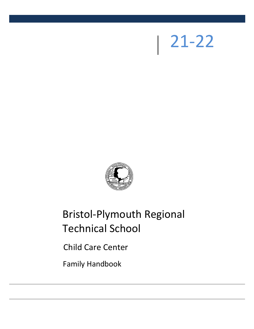# 21-22



# Bristol-Plymouth Regional Technical School

Child Care Center

Family Handbook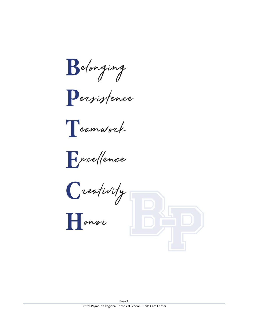Belonging

Persistence

Teamwork

Freellence

Creativity

 $\prod$ onor

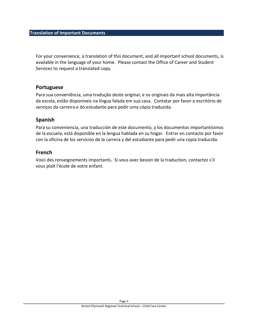For your convenience, a translation of this document, and all important school documents, is available in the language of your home. Please contact the Office of Career and Student Services to request a translated copy.

# **Portuguese**

Para sua conveniência, uma tradução deste original, e os originais da mais alta importância da escola, estão disponíveis na língua falada em sua casa. Contatar por favor o escritório de serviços da carreira e do estudante para pedir uma cópia traduzida.

# **Spanish**

Para su conveniencia, una traducción de este documento, y los documentos importantísimos de la escuela, está disponible en la lengua hablada en su hogar. Entrar en contacto por favor con la oficina de los servicios de la carrera y del estudiante para pedir una copia traducida.

# **French**

Voici des renseignements importants. Si vous avez besoin de la traduction, contactez s'il vous plaît l'école de votre enfant.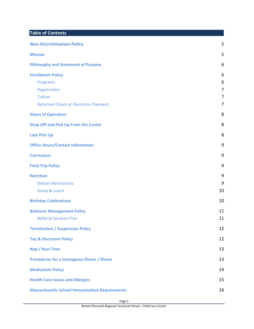# **Table of Contents**

| <b>Non-Discrimination Policy</b>                                                                                      | 5                     |
|-----------------------------------------------------------------------------------------------------------------------|-----------------------|
| <b>Mission</b>                                                                                                        | 5                     |
| <b>Philosophy and Statement of Purpose</b>                                                                            | 6                     |
| <b>Enrollment Policy</b><br>Programs<br>Registration<br><b>Tuition</b><br><b>Returned Check or Electronic Payment</b> | 6<br>6<br>7<br>7<br>7 |
| <b>Hours of Operation</b>                                                                                             | 8                     |
| Drop Off and Pick Up From the Center                                                                                  | 8                     |
| <b>Late Pick Up</b>                                                                                                   | 8                     |
| <b>Office Hours/Contact Information</b>                                                                               | 9                     |
| <b>Curriculum</b>                                                                                                     | 9                     |
| <b>Field Trip Policy</b>                                                                                              | 9                     |
| <b>Nutrition</b><br><b>Dietary Restrictions</b><br>Snack & Lunch                                                      | 9<br>9<br>10          |
| <b>Birthday Celebrations</b>                                                                                          | 10                    |
| <b>Behavior Management Policy</b><br><b>Referral Services Plan</b>                                                    | 11<br>11              |
| <b>Termination / Suspension Policy</b>                                                                                | 12                    |
| <b>Toy &amp; Electronic Policy</b>                                                                                    | 12                    |
| Nap / Rest Time                                                                                                       | 13                    |
| <b>Procedures for a Contagious Illness / Illness</b>                                                                  | 13                    |
| <b>Medication Policy</b>                                                                                              | 14                    |
| <b>Health Care Issues and Allergies</b>                                                                               | 15                    |
| <b>Massachusetts School Immunization Requirements</b>                                                                 | 16                    |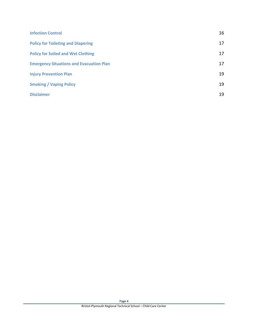| <b>Infection Control</b>                        | 16 |
|-------------------------------------------------|----|
| <b>Policy for Toileting and Diapering</b>       | 17 |
| <b>Policy for Soiled and Wet Clothing</b>       | 17 |
| <b>Emergency Situations and Evacuation Plan</b> | 17 |
| <b>Injury Prevention Plan</b>                   | 19 |
| <b>Smoking / Vaping Policy</b>                  | 19 |
| <b>Disclaimer</b>                               | 19 |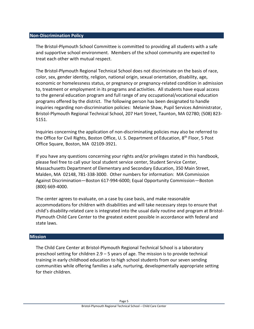#### <span id="page-5-0"></span>**Non-Discrimination Policy**

The Bristol-Plymouth School Committee is committed to providing all students with a safe and supportive school environment. Members of the school community are expected to treat each other with mutual respect.

The Bristol-Plymouth Regional Technical School does not discriminate on the basis of race, color, sex, gender identity, religion, national origin, sexual orientation, disability, age, economic or homelessness status, or pregnancy or pregnancy-related condition in admission to, treatment or employment in its programs and activities. All students have equal access to the general education program and full range of any occupational/vocational education programs offered by the district. The following person has been designated to handle inquiries regarding non-discrimination policies: Melanie Shaw, Pupil Services Administrator, Bristol-Plymouth Regional Technical School, 207 Hart Street, Taunton, MA 02780; (508) 823- 5151.

Inquiries concerning the application of non-discriminating policies may also be referred to the Office for Civil Rights, Boston Office, U. S. Department of Education, 8<sup>th</sup> Floor, 5 Post Office Square, Boston, MA 02109-3921.

If you have any questions concerning your rights and/or privileges stated in this handbook, please feel free to call your local student service center, Student Service Center, Massachusetts Department of Elementary and Secondary Education, 350 Main Street, Malden, MA 02148, 781-338-3000. Other numbers for information: MA Commission Against Discrimination—Boston 617-994-6000; Equal Opportunity Commission—Boston (800) 669-4000.

The center agrees to evaluate, on a case by case basis, and make reasonable accommodations for children with disabilities and will take necessary steps to ensure that child's disability-related care is integrated into the usual daily routine and program at Bristol-Plymouth Child Care Center to the greatest extent possible in accordance with federal and state laws.

# <span id="page-5-1"></span>**Mission**

The Child Care Center at Bristol-Plymouth Regional Technical School is a laboratory preschool setting for children 2.9 – 5 years of age. The mission is to provide technical training in early childhood education to high school students from our seven sending communities while offering families a safe, nurturing, developmentally appropriate setting for their children.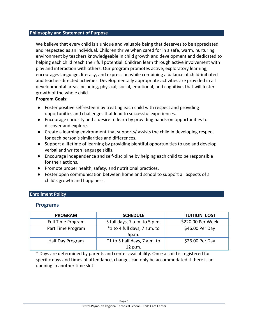# <span id="page-6-0"></span>**Philosophy and Statement of Purpose**

We believe that every child is a unique and valuable being that deserves to be appreciated and respected as an individual. Children thrive when cared for in a safe, warm, nurturing environment by teachers knowledgeable in child growth and development and dedicated to helping each child reach their full potential. Children learn through active involvement with play and interaction with others. Our program promotes active, exploratory learning, encourages language, literacy, and expression while combining a balance of child-initiated and teacher-directed activities. Developmentally appropriate activities are provided in all developmental areas including, physical, social, emotional, and cognitive, that will foster growth of the whole child.

# **Program Goals:**

- Foster positive self-esteem by treating each child with respect and providing opportunities and challenges that lead to successful experiences.
- Encourage curiosity and a desire to learn by providing hands-on opportunities to discover and explore.
- Create a learning environment that supports/ assists the child in developing respect for each person's similarities and differences.
- Support a lifetime of learning by providing plentiful opportunities to use and develop verbal and written language skills.
- Encourage independence and self-discipline by helping each child to be responsible for their actions.
- Promote proper health, safety, and nutritional practices.
- Foster open communication between home and school to support all aspects of a child's growth and happiness.

# <span id="page-6-2"></span><span id="page-6-1"></span>**Enrollment Policy**

# **Programs**

| <b>PROGRAM</b>           | <b>SCHEDULE</b>                         | <b>TUITION COST</b> |
|--------------------------|-----------------------------------------|---------------------|
| <b>Full Time Program</b> | 5 full days, 7 a.m. to 5 p.m.           | \$220.00 Per Week   |
| Part Time Program        | *1 to 4 full days, 7 a.m. to<br>5p.m.   | \$46.00 Per Day     |
| Half Day Program         | *1 to 5 half days, 7 a.m. to<br>12 p.m. | \$26.00 Per Day     |

\* Days are determined by parents and center availability. Once a child is registered for specific days and times of attendance, changes can only be accommodated if there is an opening in another time slot.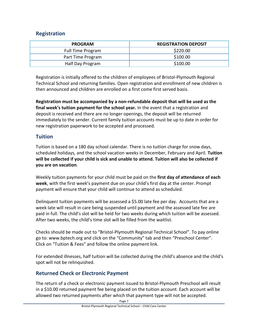# <span id="page-7-0"></span>**Registration**

| <b>PROGRAM</b>    | <b>REGISTRATION DEPOSIT</b> |
|-------------------|-----------------------------|
| Full Time Program | \$220.00                    |
| Part Time Program | \$100.00                    |
| Half Day Program  | \$100.00                    |

Registration is initially offered to the children of employees of Bristol-Plymouth Regional Technical School and returning families. Open registration and enrollment of new children is then announced and children are enrolled on a first come first served basis.

**Registration must be accompanied by a non-refundable deposit that will be used as the final week's tuition payment for the school year.** In the event that a registration and deposit is received and there are no longer openings, the deposit will be returned immediately to the sender. Current family tuition accounts must be up to date in order for new registration paperwork to be accepted and processed.

# <span id="page-7-1"></span>**Tuition**

Tuition is based on a 180 day school calendar. There is no tuition charge for snow days, scheduled holidays, and the school vacation weeks in December, February and April. **Tuition will be collected if your child is sick and unable to attend. Tuition will also be collected if you are on vacation**.

Weekly tuition payments for your child must be paid on the **first day of attendance of each week**, with the first week's payment due on your child's first day at the center. Prompt payment will ensure that your child will continue to attend as scheduled.

Delinquent tuition payments will be assessed a \$5.00 late fee per day. Accounts that are a week late will result in care being suspended until payment and the assessed late fee are paid in full. The child's slot will be held for two weeks during which tuition will be assessed. After two weeks, the child's time slot will be filled from the waitlist.

Checks should be made out to "Bristol-Plymouth Regional Technical School". To pay online go to: [www.bptech.org](http://www.bptech.org/) and click on the "Community" tab and then "Preschool Center". Click on "Tuition & Fees" and follow the online payment link.

For extended illnesses, half tuition will be collected during the child's absence and the child's spot will not be relinquished.

# <span id="page-7-2"></span>**Returned Check or Electronic Payment**

The return of a check or electronic payment issued to Bristol-Plymouth Preschool will result in a \$10.00 returned payment fee being placed on the tuition account. Each account will be allowed two returned payments after which that payment type will not be accepted.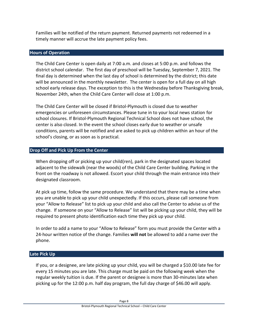Families will be notified of the return payment. Returned payments not redeemed in a timely manner will accrue the late payment policy fees.

# <span id="page-8-0"></span>**Hours of Operation**

The Child Care Center is open daily at 7:00 a.m. and closes at 5:00 p.m. and follows the district school calendar. The first day of preschool will be Tuesday, September 7, 2021. The final day is determined when the last day of school is determined by the district; this date will be announced in the monthly newsletter. The center is open for a full day on all high school early release days. The exception to this is the Wednesday before Thanksgiving break, November 24th, when the Child Care Center will close at 1:00 p.m.

The Child Care Center will be closed if Bristol-Plymouth is closed due to weather emergencies or unforeseen circumstances. Please tune in to your local news station for school closures. If Bristol-Plymouth Regional Technical School does not have school, the center is also closed. In the event the school closes early due to weather or unsafe conditions, parents will be notified and are asked to pick up children within an hour of the school's closing, or as soon as is practical.

# <span id="page-8-1"></span>**Drop Off and Pick Up From the Center**

When dropping off or picking up your child(ren), park in the designated spaces located adjacent to the sidewalk (near the woods) of the Child Care Center building. Parking in the front on the roadway is not allowed. Escort your child through the main entrance into their designated classroom.

At pick up time, follow the same procedure. We understand that there may be a time when you are unable to pick up your child unexpectedly. If this occurs, please call someone from your "Allow to Release" list to pick up your child and also call the Center to advise us of the change. If someone on your "Allow to Release" list will be picking up your child, they will be required to present photo identification each time they pick up your child.

In order to add a name to your "Allow to Release" form you must provide the Center with a 24-hour written notice of the change. Families **will not** be allowed to add a name over the phone.

# <span id="page-8-2"></span>**Late Pick Up**

If you, or a designee, are late picking up your child, you will be charged a \$10.00 late fee for every 15 minutes you are late. This charge must be paid on the following week when the regular weekly tuition is due. If the parent or designee is more than 30-minutes late when picking up for the 12:00 p.m. half day program, the full day charge of \$46.00 will apply.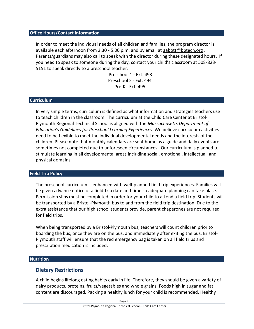#### <span id="page-9-0"></span>**Office Hours/Contact Information**

In order to meet the individual needs of all children and families, the program director is available each afternoon from 2:30 - 5:00 p.m. and by email at [aabott@bptech.org](mailto:aabott@bptech.org) . Parents/guardians may also call to speak with the director during these designated hours. If you need to speak to someone during the day, contact your child's classroom at 508-823- 5151 to speak directly to a preschool teacher:

> Preschool 1 - Ext. 493 Preschool 2 - Ext. 494 Pre-K - Ext. 495

# <span id="page-9-1"></span>**Curriculum**

In very simple terms, curriculum is defined as what information and strategies teachers use to teach children in the classroom. The curriculum at the Child Care Center at Bristol-Plymouth Regional Technical School is aligned with the *Massachusetts Department of Education's Guidelines for Preschool Learning Experiences*. We believe curriculum activities need to be flexible to meet the individual developmental needs and the interests of the children. Please note that monthly calendars are sent home as a guide and daily events are sometimes not completed due to unforeseen circumstances. Our curriculum is planned to stimulate learning in all developmental areas including social, emotional, intellectual, and physical domains.

#### <span id="page-9-2"></span>**Field Trip Policy**

The preschool curriculum is enhanced with well-planned field trip experiences. Families will be given advance notice of a field-trip date and time so adequate planning can take place. Permission slips must be completed in order for your child to attend a field trip. Students will be transported by a Bristol-Plymouth bus to and from the field trip destination. Due to the extra assistance that our high school students provide, parent chaperones are not required for field trips.

When being transported by a Bristol-Plymouth bus, teachers will count children prior to boarding the bus, once they are on the bus, and immediately after exiting the bus. Bristol-Plymouth staff will ensure that the red emergency bag is taken on all field trips and prescription medication is included.

# <span id="page-9-4"></span><span id="page-9-3"></span>**Nutrition**

# **Dietary Restrictions**

A child begins lifelong eating habits early in life. Therefore, they should be given a variety of dairy products, proteins, fruits/vegetables and whole grains. Foods high in sugar and fat content are discouraged. Packing a healthy lunch for your child is recommended. Healthy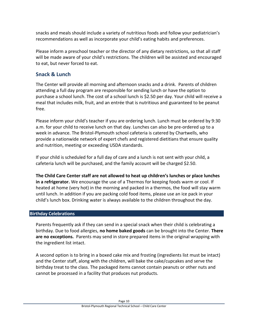snacks and meals should include a variety of nutritious foods and follow your pediatrician's recommendations as well as incorporate your child's eating habits and preferences.

Please inform a preschool teacher or the director of any dietary restrictions, so that all staff will be made aware of your child's restrictions. The children will be assisted and encouraged to eat, but never forced to eat.

# <span id="page-10-0"></span>**Snack & Lunch**

The Center will provide all morning and afternoon snacks and a drink. Parents of children attending a full day program are responsible for sending lunch or have the option to purchase a school lunch. The cost of a school lunch is \$2.50 per day. Your child will receive a meal that includes milk, fruit, and an entrée that is nutritious and guaranteed to be peanut free.

Please inform your child's teacher if you are ordering lunch. Lunch must be ordered by 9:30 a.m. for your child to receive lunch on that day. Lunches can also be pre-ordered up to a week in advance. The Bristol-Plymouth school cafeteria is catered by Chartwells, who provide a nationwide network of expert chefs and registered dietitians that ensure quality and nutrition, meeting or exceeding USDA standards.

If your child is scheduled for a full day of care and a lunch is not sent with your child, a cafeteria lunch will be purchased, and the family account will be charged \$2.50.

**The Child Care Center staff are not allowed to heat up children's lunches or place lunches in a refrigerator.** We encourage the use of a Thermos for keeping foods warm or cool. If heated at home (very hot) in the morning and packed in a thermos, the food will stay warm until lunch. In addition if you are packing cold food items, please use an ice pack in your child's lunch box. Drinking water is always available to the children throughout the day.

# <span id="page-10-1"></span>**Birthday Celebrations**

Parents frequently ask if they can send in a special snack when their child is celebrating a birthday. Due to food allergies, **no home baked goods** can be brought into the Center. **There are no exceptions.** Parents may send in store prepared items in the original wrapping with the ingredient list intact.

A second option is to bring in a boxed cake mix and frosting (ingredients list must be intact) and the Center staff, along with the children, will bake the cake/cupcakes and serve the birthday treat to the class. The packaged items cannot contain peanuts or other nuts and cannot be processed in a facility that produces nut products.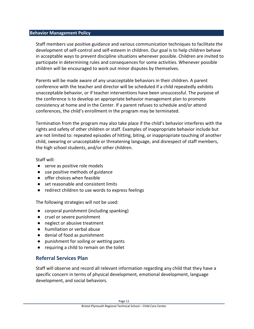#### <span id="page-11-0"></span>**Behavior Management Policy**

Staff members use positive guidance and various communication techniques to facilitate the development of self-control and self-esteem in children. Our goal is to help children behave in acceptable ways to prevent discipline situations whenever possible. Children are invited to participate in determining rules and consequences for some activities. Whenever possible children will be encouraged to work out minor disputes by themselves.

Parents will be made aware of any unacceptable behaviors in their children. A parent conference with the teacher and director will be scheduled if a child repeatedly exhibits unacceptable behavior, or if teacher interventions have been unsuccessful. The purpose of the conference is to develop an appropriate behavior management plan to promote consistency at home and in the Center. If a parent refuses to schedule and/or attend conferences, the child's enrollment in the program may be terminated.

Termination from the program may also take place if the child's behavior interferes with the rights and safety of other children or staff. Examples of inappropriate behavior include but are not limited to: repeated episodes of hitting, biting, or inappropriate touching of another child, swearing or unacceptable or threatening language, and disrespect of staff members, the high school students, and/or other children.

Staff will:

- serve as positive role models
- use positive methods of guidance
- offer choices when feasible
- set reasonable and consistent limits
- redirect children to use words to express feelings

The following strategies will not be used:

- corporal punishment (including spanking)
- cruel or severe punishment
- neglect or abusive treatment
- humiliation or verbal abuse
- denial of food as punishment
- punishment for soiling or wetting pants
- requiring a child to remain on the toilet

# <span id="page-11-1"></span>**Referral Services Plan**

Staff will observe and record all relevant information regarding any child that they have a specific concern in terms of physical development, emotional development, language development, and social behaviors.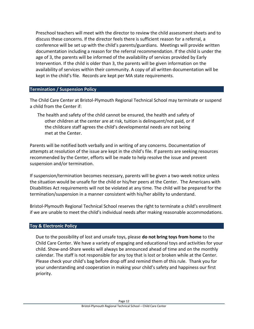Preschool teachers will meet with the director to review the child assessment sheets and to discuss these concerns. If the director feels there is sufficient reason for a referral, a conference will be set up with the child's parents/guardians. Meetings will provide written documentation including a reason for the referral recommendation. If the child is under the age of 3, the parents will be informed of the availability of services provided by Early Intervention. If the child is older than 3, the parents will be given information on the availability of services within their community. A copy of all written documentation will be kept in the child's file. Records are kept per MA state requirements.

# <span id="page-12-0"></span>**Termination / Suspension Policy**

The Child Care Center at Bristol-Plymouth Regional Technical School may terminate or suspend a child from the Center if:

The health and safety of the child cannot be ensured, the health and safety of other children at the center are at risk, tuition is delinquent/not paid, or if the childcare staff agrees the child's developmental needs are not being met at the Center.

Parents will be notified both verbally and in writing of any concerns. Documentation of attempts at resolution of the issue are kept in the child's file. If parents are seeking resources recommended by the Center, efforts will be made to help resolve the issue and prevent suspension and/or termination.

If suspension/termination becomes necessary, parents will be given a two-week notice unless the situation would be unsafe for the child or his/her peers at the Center. The Americans with Disabilities Act requirements will not be violated at any time. The child will be prepared for the termination/suspension in a manner consistent with his/her ability to understand.

Bristol-Plymouth Regional Technical School reserves the right to terminate a child's enrollment if we are unable to meet the child's individual needs after making reasonable accommodations.

# <span id="page-12-1"></span>**Toy & Electronic Policy**

Due to the possibility of lost and unsafe toys, please **do not bring toys from home** to the Child Care Center. We have a variety of engaging and educational toys and activities for your child. Show-and-Share weeks will always be announced ahead of time and on the monthly calendar. The staff is not responsible for any toy that is lost or broken while at the Center. Please check your child's bag before drop off and remind them of this rule. Thank you for your understanding and cooperation in making your child's safety and happiness our first priority.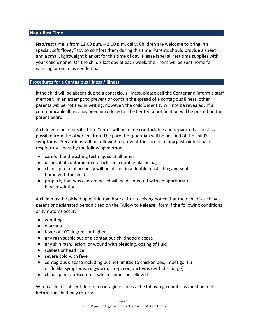# <span id="page-13-0"></span>**Nap / Rest Time**

Nap/rest time is from 12:00 p.m. – 2:00 p.m. daily. Children are welcome to bring in a special, soft "lovey" toy to comfort them during this time. Parents should provide a sheet and a small, lightweight blanket for this time of day. Please label all rest time supplies with your child's name. On the child's last day of each week, the linens will be sent home for washing or on an as needed basis.

# <span id="page-13-1"></span>**Procedures for a Contagious Illness / Illness**

If the child will be absent due to a contagious illness, please call the Center and inform a staff member. In an attempt to prevent or contain the spread of a contagious illness, other parents will be notified in writing; however, the child's identity will not be revealed. If a communicable illness has been introduced at the Center, a notification will be posted on the parent board.

A child who becomes ill at the Center will be made comfortable and separated as best as possible from the other children. The parent or guardian will be notified of the child's symptoms. Precautions will be followed to prevent the spread of any gastrointestinal or respiratory illness by the following methods:

- careful hand washing techniques at all times
- disposal of contaminated articles in a double plastic bag
- child's personal property will be placed in a double plastic bag and sent home with the child
- property that was contaminated will be disinfected with an appropriate bleach solution

A child must be picked up within two hours after receiving notice that their child is sick by a parent or designated person cited on the "Allow to Release" form if the following conditions or symptoms occur:

- vomiting
- diarrhea
- fever of 100 degrees or higher
- any rash suspicious of a contagious childhood disease
- any skin rash, lesion, or wound with bleeding, oozing of fluid
- scabies or head lice
- severe cold with fever
- contagious disease including but not limited to chicken pox, impetigo, flu or flu like symptoms, ringworm, strep, conjunctivitis (with discharge)
- child's pain or discomfort which cannot be relieved

When a child is absent due to a contagious illness, the following conditions must be met **before** the child may return: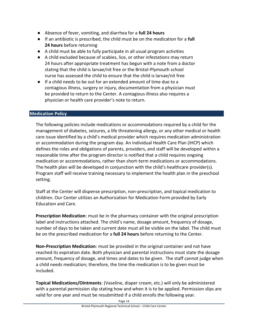- Absence of fever, vomiting, and diarrhea for a **full 24 hours**
- If an antibiotic is prescribed, the child must be on the medication for a **full 24 hours** before returning
- A child must be able to fully participate in all usual program activities
- A child excluded because of scabies, lice, or other infestations may return 24 hours after appropriate treatment has begun with a note from a doctor stating that the child is larvae/nit free or the Bristol-Plymouth school nurse has assessed the child to ensure that the child is larvae/nit free
- If a child needs to be out for an extended amount of time due to a contagious illness, surgery or injury, documentation from a physician must be provided to return to the Center. A contagious illness also requires a physician or health care provider's note to return.

# <span id="page-14-0"></span>**Medication Policy**

The following policies include medications or accommodations required by a child for the management of diabetes, seizures, a life threatening allergy, or any other medical or health care issue identified by a child's medical provider which requires medication administration or accommodation during the program day. An Individual Health Care Plan (IHCP) which defines the roles and obligations of parents, providers, and staff will be developed within a reasonable time after the program director is notified that a child requires ongoing medication or accommodations, rather than short-term medications or accommodations. The health plan will be developed in conjunction with the child's healthcare provider(s). Program staff will receive training necessary to implement the health plan in the preschool setting.

Staff at the Center will dispense prescription, non-prescription, and topical medication to children. Our Center utilizes an Authorization for Medication Form provided by Early Education and Care.

**Prescription Medication**: must be in the pharmacy container with the original prescription label and instructions attached. The child's name, dosage amount, frequency of dosage, number of days to be taken and current date must all be visible on the label. The child must be on the prescribed medication for a **full 24 hours** before returning to the Center.

**Non-Prescription Medication**: must be provided in the original container and not have reached its expiration date. Both physician and parental instructions must state the dosage amount, frequency of dosage, and times and dates to be given. The staff cannot judge when a child needs medication; therefore, the time the medication is to be given must be included.

**Topical Medications/Ointments**: (Vaseline, diaper cream, etc.) will only be administered with a parental permission slip stating how and when it is to be applied. Permission slips are valid for one year and must be resubmitted if a child enrolls the following year.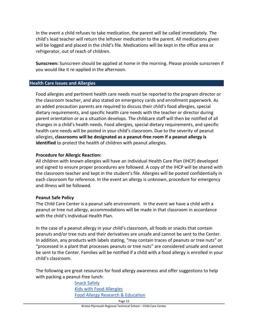In the event a child refuses to take medication, the parent will be called immediately. The child's lead teacher will return the leftover medication to the parent. All medications given will be logged and placed in the child's file. Medications will be kept in the office area or refrigerator, out of reach of children.

**Sunscreen:** Sunscreen should be applied at home in the morning. Please provide sunscreen if you would like it re-applied in the afternoon.

# <span id="page-15-0"></span>**Health Care Issues and Allergies**

Food allergies and pertinent health care needs must be reported to the program director or the classroom teacher, and also stated on emergency cards and enrollment paperwork. As an added precaution parents are required to discuss their child's food allergies, special dietary requirements, and specific health care needs with the teacher or director during parent orientation or as a situation develops. The childcare staff will then be notified of all changes in a child's health needs. Food allergies, special dietary requirements, and specific health care needs will be posted in your child's classroom. Due to the severity of peanut allergies, **classrooms will be designated as a peanut-free room if a peanut allergy is identified** to protect the health of children with peanut allergies.

# **Procedure for Allergic Reaction:**

All children with known allergies will have an Individual Health Care Plan (IHCP) developed and signed to ensure proper procedures are followed. A copy of the IHCP will be shared with the classroom teacher and kept in the student's file. Allergies will be posted confidentially in each classroom for reference. In the event an allergy is unknown, procedure for emergency and illness will be followed.

# **Peanut Safe Policy**

The Child Care Center is a peanut safe environment. In the event we have a child with a peanut or tree nut allergy, accommodations will be made in that classroom in accordance with the child's Individual Health Plan.

In the case of a peanut allergy in your child's classroom, all foods or snacks that contain peanuts and/or tree nuts and their derivatives are unsafe and cannot be sent to the Center. In addition, any products with labels stating, "may contain traces of peanuts or tree nuts" or "processed in a plant that processes peanuts or tree nuts" are considered unsafe and cannot be sent to the Center. Families will be notified if a child with a food allergy is enrolled in your child's classroom.

The following are great resources for food allergy awareness and offer suggestions to help with packing a peanut-free lunch:

> [Snack Safely](http://www.snacksafely.com/) [Kids with Food Allergies](http://www.kidswithfoodallergies.org/) [Food Allergy Research & Education](http://www.foodallergy.org/)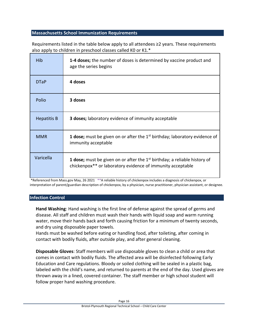# <span id="page-16-0"></span>**Massachusetts School Immunization Requirements**

Requirements listed in the table below apply to all attendees ≥2 years. These requirements also apply to children in preschool classes called K0 or K1.\*

| <b>Hib</b>         | 1-4 doses; the number of doses is determined by vaccine product and<br>age the series begins                                                                 |
|--------------------|--------------------------------------------------------------------------------------------------------------------------------------------------------------|
| <b>DTaP</b>        | 4 doses                                                                                                                                                      |
| Polio              | 3 doses                                                                                                                                                      |
| <b>Hepatitis B</b> | <b>3 doses;</b> laboratory evidence of immunity acceptable                                                                                                   |
| <b>MMR</b>         | <b>1 dose;</b> must be given on or after the $1st$ birthday; laboratory evidence of<br>immunity acceptable                                                   |
| Varicella          | <b>1 dose;</b> must be given on or after the $1st$ birthday; a reliable history of<br>chickenpox <sup>**</sup> or laboratory evidence of immunity acceptable |

\*Referenced from Mass.gov May, 26 2021 \*\*A reliable history of chickenpox includes a diagnosis of chickenpox, or interpretation of parent/guardian description of chickenpox, by a physician, nurse practitioner, physician assistant, or designee.

# <span id="page-16-1"></span>**Infection Control**

**Hand Washing**: Hand washing is the first line of defense against the spread of germs and disease. All staff and children must wash their hands with liquid soap and warm running water, move their hands back and forth causing friction for a minimum of twenty seconds, and dry using disposable paper towels.

Hands must be washed before eating or handling food, after toileting, after coming in contact with bodily fluids, after outside play, and after general cleaning.

**Disposable Gloves**: Staff members will use disposable gloves to clean a child or area that comes in contact with bodily fluids. The affected area will be disinfected following Early Education and Care regulations. Bloody or soiled clothing will be sealed in a plastic bag, labeled with the child's name, and returned to parents at the end of the day. Used gloves are thrown away in a lined, covered container. The staff member or high school student will follow proper hand washing procedure.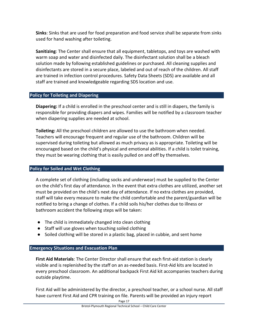**Sinks**: Sinks that are used for food preparation and food service shall be separate from sinks used for hand washing after toileting.

**Sanitizing**: The Center shall ensure that all equipment, tabletops, and toys are washed with warm soap and water and disinfected daily. The disinfectant solution shall be a bleach solution made by following established guidelines or purchased. All cleaning supplies and disinfectants are stored in a secure place, labeled and out of reach of the children. All staff are trained in infection control procedures. Safety Data Sheets (SDS) are available and all staff are trained and knowledgeable regarding SDS location and use.

# <span id="page-17-0"></span>**Policy for Toileting and Diapering**

**Diapering:** If a child is enrolled in the preschool center and is still in diapers, the family is responsible for providing diapers and wipes. Families will be notified by a classroom teacher when diapering supplies are needed at school.

**Toileting:** All the preschool children are allowed to use the bathroom when needed. Teachers will encourage frequent and regular use of the bathroom. Children will be supervised during toileting but allowed as much privacy as is appropriate. Toileting will be encouraged based on the child's physical and emotional abilities. If a child is toilet training, they must be wearing clothing that is easily pulled on and off by themselves.

# <span id="page-17-1"></span>**Policy for Soiled and Wet Clothing**

A complete set of clothing (including socks and underwear) must be supplied to the Center on the child's first day of attendance. In the event that extra clothes are utilized, another set must be provided on the child's next day of attendance. If no extra clothes are provided, staff will take every measure to make the child comfortable and the parent/guardian will be notified to bring a change of clothes. If a child soils his/her clothes due to illness or bathroom accident the following steps will be taken:

- The child is immediately changed into clean clothing
- Staff will use gloves when touching soiled clothing
- Soiled clothing will be stored in a plastic bag, placed in cubbie, and sent home

# <span id="page-17-2"></span>**Emergency Situations and Evacuation Plan**

**First Aid Materials**: The Center Director shall ensure that each first-aid station is clearly visible and is replenished by the staff on an as-needed basis. First-Aid kits are located in every preschool classroom. An additional backpack First Aid kit accompanies teachers during outside playtime.

First Aid will be administered by the director, a preschool teacher, or a school nurse. All staff have current First Aid and CPR training on file. Parents will be provided an injury report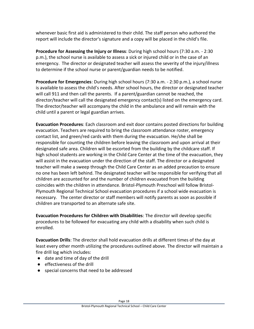whenever basic first aid is administered to their child. The staff person who authored the report will include the director's signature and a copy will be placed in the child's file.

**Procedure for Assessing the Injury or Illness**: During high school hours (7:30 a.m. - 2:30 p.m.), the school nurse is available to assess a sick or injured child or in the case of an emergency. The director or designated teacher will assess the severity of the injury/illness to determine if the school nurse or parent/guardian needs to be notified.

**Procedure for Emergencies**: During high school hours (7:30 a.m. - 2:30 p.m.), a school nurse is available to assess the child's needs. After school hours, the director or designated teacher will call 911 and then call the parents. If a parent/guardian cannot be reached, the director/teacher will call the designated emergency contact(s) listed on the emergency card. The director/teacher will accompany the child in the ambulance and will remain with the child until a parent or legal guardian arrives.

**Evacuation Procedures**: Each classroom and exit door contains posted directions for building evacuation. Teachers are required to bring the classroom attendance roster, emergency contact list, and green/red cards with them during the evacuation. He/she shall be responsible for counting the children before leaving the classroom and upon arrival at their designated safe area. Children will be escorted from the building by the childcare staff. If high school students are working in the Child Care Center at the time of the evacuation, they will assist in the evacuation under the direction of the staff. The director or a designated teacher will make a sweep through the Child Care Center as an added precaution to ensure no one has been left behind. The designated teacher will be responsible for verifying that all children are accounted for and the number of children evacuated from the building coincides with the children in attendance. Bristol-Plymouth Preschool will follow Bristol-Plymouth Regional Technical School evacuation procedures if a school wide evacuation is necessary. The center director or staff members will notify parents as soon as possible if children are transported to an alternate safe site.

**Evacuation Procedures for Children with Disabilities**: The director will develop specific procedures to be followed for evacuating any child with a disability when such child is enrolled.

**Evacuation Drills**: The director shall hold evacuation drills at different times of the day at least every other month utilizing the procedures outlined above. The director will maintain a fire drill log which includes:

- date and time of day of the drill
- effectiveness of the drill
- special concerns that need to be addressed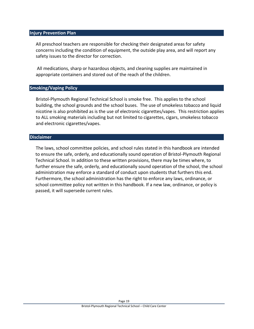#### <span id="page-19-0"></span>**Injury Prevention Plan**

All preschool teachers are responsible for checking their designated areas for safety concerns including the condition of equipment, the outside play area, and will report any safety issues to the director for correction.

All medications, sharp or hazardous objects, and cleaning supplies are maintained in appropriate containers and stored out of the reach of the children.

# <span id="page-19-1"></span>**Smoking/Vaping Policy**

Bristol-Plymouth Regional Technical School is smoke free. This applies to the school building, the school grounds and the school buses. The use of smokeless tobacco and liquid nicotine is also prohibited as is the use of electronic cigarettes/vapes.This restriction applies to ALL smoking materials including but not limited to cigarettes, cigars, smokeless tobacco and electronic cigarettes/vapes.

#### **Disclaimer**

The laws, school committee policies, and school rules stated in this handbook are intended to ensure the safe, orderly, and educationally sound operation of Bristol-Plymouth Regional Technical School. In addition to these written provisions, there may be times where, to further ensure the safe, orderly, and educationally sound operation of the school, the school administration may enforce a standard of conduct upon students that furthers this end. Furthermore, the school administration has the right to enforce any laws, ordinance, or school committee policy not written in this handbook. If a new law, ordinance, or policy is passed, it will supersede current rules.